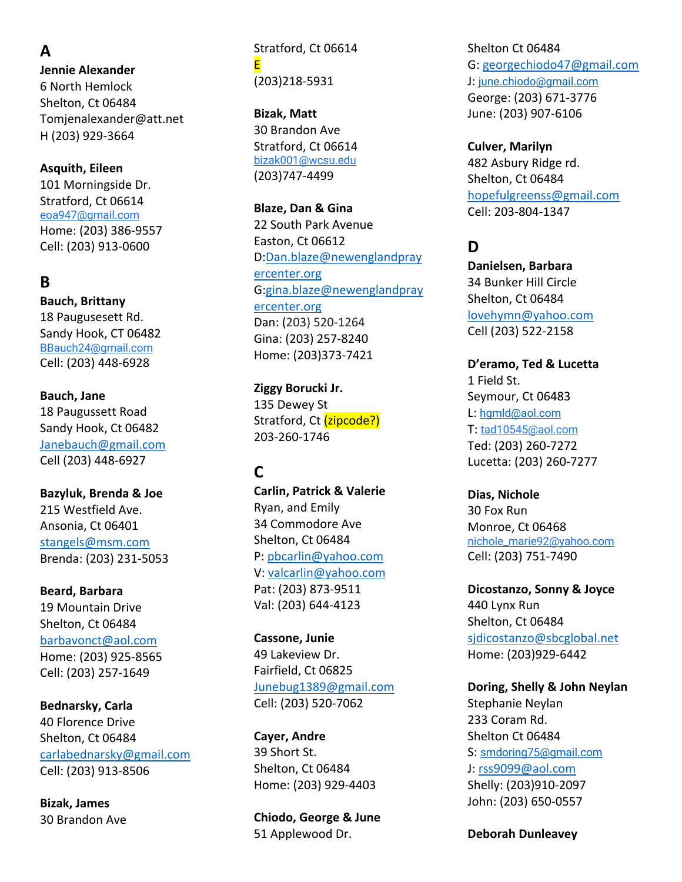**A Jennie Alexander** 6 North Hemlock Shelton, Ct 06484 Tomjenalexander@att.net H (203) 929-3664

**Asquith, Eileen** 101 Morningside Dr. Stratford, Ct 06614 eoa947@gmail.com Home: (203) 386-9557 Cell: (203) 913-0600

#### **B**

**Bauch, Brittany** 18 Paugusesett Rd. Sandy Hook, CT 06482 BBauch24@gmail.com Cell: (203) 448-6928

**Bauch, Jane** 18 Paugussett Road Sandy Hook, Ct 06482 Janebauch@gmail.com Cell (203) 448-6927

**Bazyluk, Brenda & Joe** 215 Westfield Ave. Ansonia, Ct 06401 stangels@msm.com Brenda: (203) 231-5053

**Beard, Barbara** 19 Mountain Drive Shelton, Ct 06484 barbavonct@aol.com Home: (203) 925-8565 Cell: (203) 257-1649

**Bednarsky, Carla** 40 Florence Drive Shelton, Ct 06484 carlabednarsky@gmail.com Cell: (203) 913-8506

**Bizak, James** 30 Brandon Ave Stratford, Ct 06614 E (203)218-5931

**Bizak, Matt** 30 Brandon Ave Stratford, Ct 06614 bizak001@wcsu.edu (203)747-4499

**Blaze, Dan & Gina** 22 South Park Avenue Easton, Ct 06612 D:Dan.blaze@newenglandpray ercenter.org G:gina.blaze@newenglandpray ercenter.org Dan: (203) 520-1264 Gina: (203) 257-8240 Home: (203)373-7421

**Ziggy Borucki Jr.** 135 Dewey St Stratford, Ct (zipcode?) 203-260-1746

# **C**

**Carlin, Patrick & Valerie** Ryan, and Emily 34 Commodore Ave Shelton, Ct 06484 P: pbcarlin@yahoo.com V: valcarlin@yahoo.com Pat: (203) 873-9511 Val: (203) 644-4123

**Cassone, Junie** 49 Lakeview Dr. Fairfield, Ct 06825 Junebug1389@gmail.com Cell: (203) 520-7062

**Cayer, Andre** 39 Short St. Shelton, Ct 06484 Home: (203) 929-4403

**Chiodo, George & June** 51 Applewood Dr.

Shelton Ct 06484 G: georgechiodo47@gmail.com J: june.chiodo@gmail.com George: (203) 671-3776 June: (203) 907-6106

**Culver, Marilyn** 482 Asbury Ridge rd. Shelton, Ct 06484 hopefulgreenss@gmail.com Cell: 203-804-1347

# **D**

**Danielsen, Barbara** 34 Bunker Hill Circle Shelton, Ct 06484 lovehymn@yahoo.com Cell (203) 522-2158

**D'eramo, Ted & Lucetta** 1 Field St. Seymour, Ct 06483 L: hgmld@aol.com T: tad10545@aol.com Ted: (203) 260-7272 Lucetta: (203) 260-7277

**Dias, Nichole** 30 Fox Run Monroe, Ct 06468 nichole\_marie92@yahoo.com Cell: (203) 751-7490

**Dicostanzo, Sonny & Joyce** 440 Lynx Run Shelton, Ct 06484 sjdicostanzo@sbcglobal.net Home: (203)929-6442

**Doring, Shelly & John Neylan** Stephanie Neylan 233 Coram Rd. Shelton Ct 06484 S: smdoring75@gmail.com J: rss9099@aol.com Shelly: (203)910-2097 John: (203) 650-0557

**Deborah Dunleavey**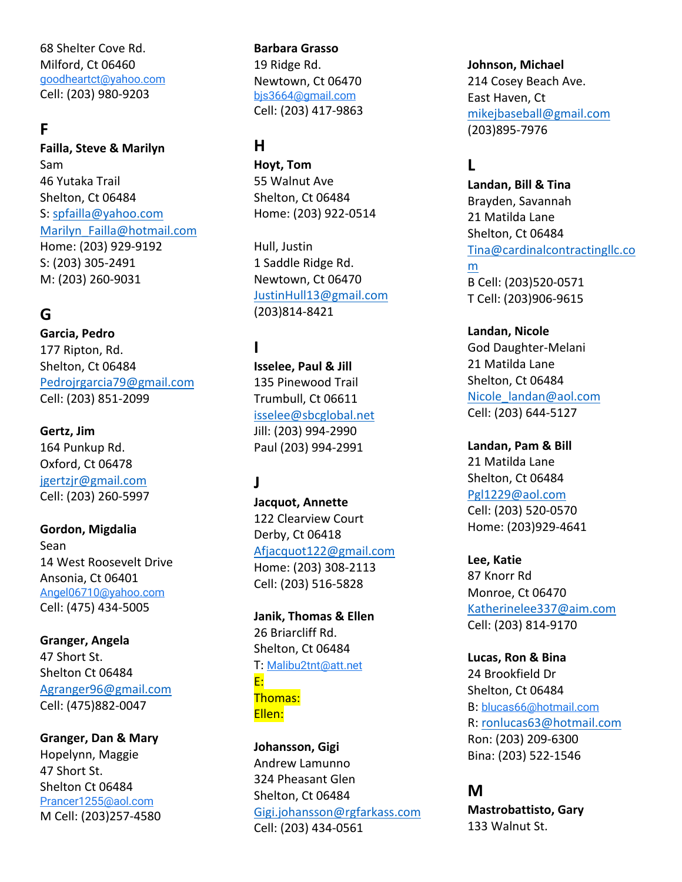68 Shelter Cove Rd. Milford, Ct 06460 goodheartct@yahoo.com Cell: (203) 980-9203

### **F**

**Failla, Steve & Marilyn** Sam 46 Yutaka Trail Shelton, Ct 06484 S: spfailla@yahoo.com Marilyn\_Failla@hotmail.com Home: (203) 929-9192 S: (203) 305-2491 M: (203) 260-9031

#### **G**

**Garcia, Pedro** 177 Ripton, Rd. Shelton, Ct 06484 Pedrojrgarcia79@gmail.com Cell: (203) 851-2099

**Gertz, Jim** 164 Punkup Rd. Oxford, Ct 06478 jgertzjr@gmail.com Cell: (203) 260-5997

**Gordon, Migdalia** Sean 14 West Roosevelt Drive Ansonia, Ct 06401 Angel06710@yahoo.com Cell: (475) 434-5005

**Granger, Angela** 47 Short St. Shelton Ct 06484 Agranger96@gmail.com Cell: (475)882-0047

**Granger, Dan & Mary** Hopelynn, Maggie 47 Short St. Shelton Ct 06484 Prancer1255@aol.com M Cell: (203)257-4580 **Barbara Grasso** 19 Ridge Rd. Newtown, Ct 06470 bjs3664@gmail.com Cell: (203) 417-9863

## **H**

**Hoyt, Tom** 55 Walnut Ave Shelton, Ct 06484 Home: (203) 922-0514

Hull, Justin 1 Saddle Ridge Rd. Newtown, Ct 06470 JustinHull13@gmail.com (203)814-8421

## **I**

**Isselee, Paul & Jill** 135 Pinewood Trail Trumbull, Ct 06611 isselee@sbcglobal.net Jill: (203) 994-2990 Paul (203) 994-2991

## **J**

**Jacquot, Annette** 122 Clearview Court Derby, Ct 06418 Afjacquot122@gmail.com Home: (203) 308-2113 Cell: (203) 516-5828

**Janik, Thomas & Ellen** 26 Briarcliff Rd. Shelton, Ct 06484 T: Malibu2tnt@att.net E: Thomas: Ellen:

**Johansson, Gigi** Andrew Lamunno 324 Pheasant Glen Shelton, Ct 06484 Gigi.johansson@rgfarkass.com Cell: (203) 434-0561

**Johnson, Michael** 214 Cosey Beach Ave. East Haven, Ct mikejbaseball@gmail.com (203)895-7976

# **L**

**Landan, Bill & Tina** Brayden, Savannah 21 Matilda Lane Shelton, Ct 06484 Tina@cardinalcontractingllc.co m B Cell: (203)520-0571 T Cell: (203)906-9615

**Landan, Nicole** God Daughter-Melani 21 Matilda Lane Shelton, Ct 06484 Nicole\_landan@aol.com Cell: (203) 644-5127

**Landan, Pam & Bill** 21 Matilda Lane Shelton, Ct 06484 Pgl1229@aol.com Cell: (203) 520-0570 Home: (203)929-4641

**Lee, Katie** 87 Knorr Rd Monroe, Ct 06470 Katherinelee337@aim.com Cell: (203) 814-9170

**Lucas, Ron & Bina** 24 Brookfield Dr Shelton, Ct 06484 B: blucas66@hotmail.com R: ronlucas63@hotmail.com Ron: (203) 209-6300 Bina: (203) 522-1546

#### **M**

**Mastrobattisto, Gary** 133 Walnut St.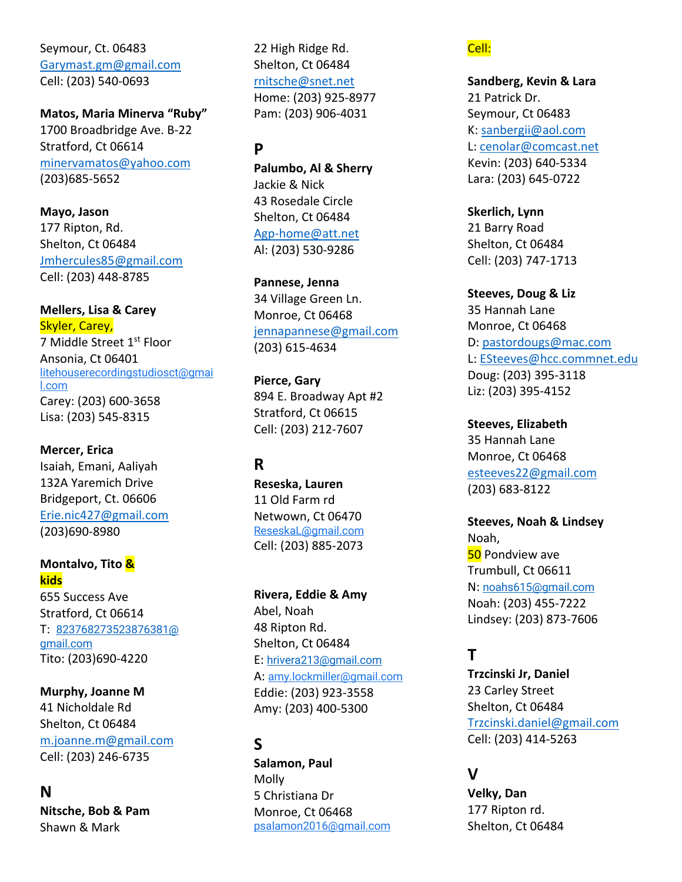Seymour, Ct. 06483 Garymast.gm@gmail.com Cell: (203) 540-0693

**Matos, Maria Minerva "Ruby"** 1700 Broadbridge Ave. B-22 Stratford, Ct 06614 minervamatos@yahoo.com (203)685-5652

**Mayo, Jason** 177 Ripton, Rd. Shelton, Ct 06484 Jmhercules85@gmail.com Cell: (203) 448-8785

**Mellers, Lisa & Carey** Skyler, Carey, 7 Middle Street 1<sup>st</sup> Floor Ansonia, Ct 06401 litehouserecordingstudiosct@gmai l.com Carey: (203) 600-3658 Lisa: (203) 545-8315

**Mercer, Erica** Isaiah, Emani, Aaliyah 132A Yaremich Drive Bridgeport, Ct. 06606 Erie.nic427@gmail.com (203)690-8980

**Montalvo, Tito & kids** 655 Success Ave Stratford, Ct 06614 T: 823768273523876381@ gmail.com Tito: (203)690-4220

**Murphy, Joanne M** 41 Nicholdale Rd Shelton, Ct 06484 m.joanne.m@gmail.com Cell: (203) 246-6735

**N Nitsche, Bob & Pam** Shawn & Mark

22 High Ridge Rd. Shelton, Ct 06484 rnitsche@snet.net Home: (203) 925-8977 Pam: (203) 906-4031

## **P**

**Palumbo, Al & Sherry** Jackie & Nick 43 Rosedale Circle Shelton, Ct 06484 Agp-home@att.net Al: (203) 530-9286

**Pannese, Jenna** 34 Village Green Ln. Monroe, Ct 06468 jennapannese@gmail.com (203) 615-4634

**Pierce, Gary** 894 E. Broadway Apt #2 Stratford, Ct 06615 Cell: (203) 212-7607

## **R**

**Reseska, Lauren** 11 Old Farm rd Netwown, Ct 06470 ReseskaL@gmail.com Cell: (203) 885-2073

**Rivera, Eddie & Amy** Abel, Noah 48 Ripton Rd. Shelton, Ct 06484 E: hrivera213@gmail.com A: amy.lockmiller@gmail.com Eddie: (203) 923-3558 Amy: (203) 400-5300

#### **S**

**Salamon, Paul** Molly 5 Christiana Dr Monroe, Ct 06468 psalamon2016@gmail.com Cell:

**Sandberg, Kevin & Lara** 21 Patrick Dr. Seymour, Ct 06483 K: sanbergii@aol.com L: cenolar@comcast.net Kevin: (203) 640-5334 Lara: (203) 645-0722

**Skerlich, Lynn** 21 Barry Road Shelton, Ct 06484 Cell: (203) 747-1713

**Steeves, Doug & Liz** 35 Hannah Lane Monroe, Ct 06468 D: pastordougs@mac.com L: ESteeves@hcc.commnet.edu Doug: (203) 395-3118 Liz: (203) 395-4152

**Steeves, Elizabeth** 35 Hannah Lane Monroe, Ct 06468 esteeves22@gmail.com (203) 683-8122

**Steeves, Noah & Lindsey** Noah, **50** Pondview ave Trumbull, Ct 06611 N: noahs615@gmail.com Noah: (203) 455-7222 Lindsey: (203) 873-7606

# **T**

**Trzcinski Jr, Daniel** 23 Carley Street Shelton, Ct 06484 Trzcinski.daniel@gmail.com Cell: (203) 414-5263

#### **V**

**Velky, Dan** 177 Ripton rd. Shelton, Ct 06484